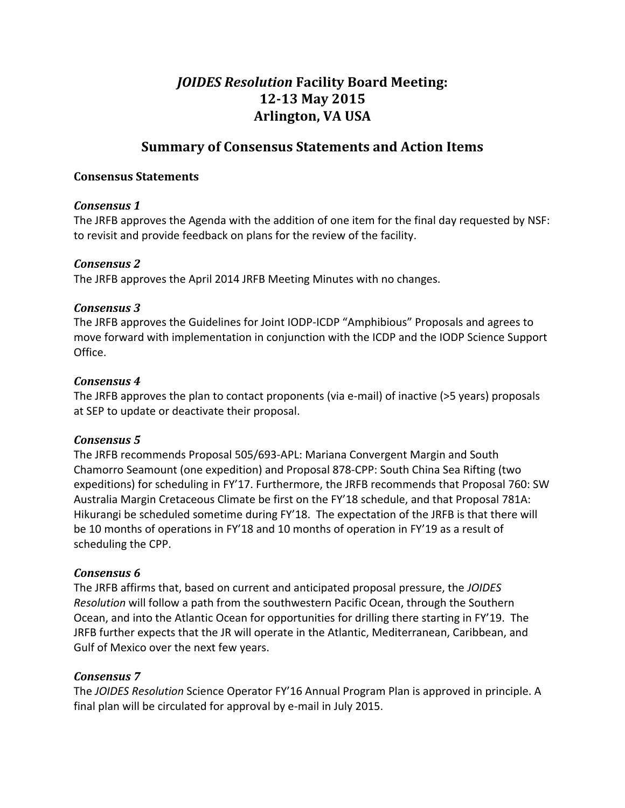# *JOIDES Resolution* Facility Board Meeting: 12-13 May 2015 **Arlington, 
VA USA**

## **Summary of Consensus Statements and Action Items**

## **Consensus 
Statements**

#### *Consensus 
1*

The JRFB approves the Agenda with the addition of one item for the final day requested by NSF: to revisit and provide feedback on plans for the review of the facility.

## *Consensus 
2*

The JRFB approves the April 2014 JRFB Meeting Minutes with no changes.

#### *Consensus* 3

The JRFB approves the Guidelines for Joint IODP-ICDP "Amphibious" Proposals and agrees to move forward with implementation in conjunction with the ICDP and the IODP Science Support Office.

#### Consensus 4

The JRFB approves the plan to contact proponents (via e-mail) of inactive (>5 years) proposals at SEP to update or deactivate their proposal.

## *Consensus 
5*

The JRFB recommends Proposal 505/693-APL: Mariana Convergent Margin and South Chamorro Seamount (one expedition) and Proposal 878-CPP: South China Sea Rifting (two expeditions) for scheduling in FY'17. Furthermore, the JRFB recommends that Proposal 760: SW Australia Margin Cretaceous Climate be first on the FY'18 schedule, and that Proposal 781A: Hikurangi be scheduled sometime during FY'18. The expectation of the JRFB is that there will be 10 months of operations in FY'18 and 10 months of operation in FY'19 as a result of scheduling the CPP.

## *Consensus 
6*

The JRFB affirms that, based on current and anticipated proposal pressure, the *JOIDES* Resolution will follow a path from the southwestern Pacific Ocean, through the Southern Ocean, and into the Atlantic Ocean for opportunities for drilling there starting in FY'19. The JRFB further expects that the JR will operate in the Atlantic, Mediterranean, Caribbean, and Gulf of Mexico over the next few years.

## *Consensus 
7*

The *JOIDES Resolution* Science Operator FY'16 Annual Program Plan is approved in principle. A final plan will be circulated for approval by e-mail in July 2015.